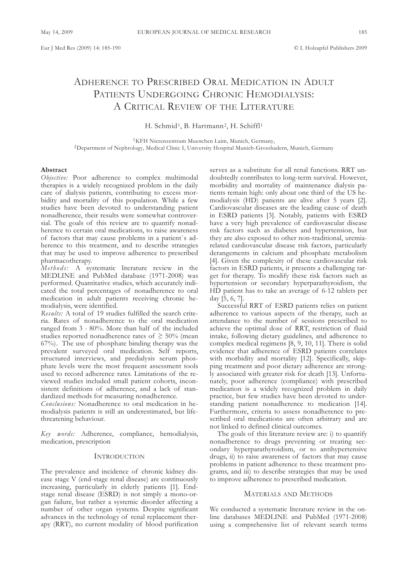# ADHERENCE TO PRESCRIBED ORAL MEDICATION IN ADULT PATIENTS UNDERGOING CHRONIC HEMODIALYSIS: A CRITICAL REVIEW OF THE LITERATURE

H. Schmid<sup>1</sup>, B. Hartmann<sup>2</sup>, H. Schiffl<sup>1</sup>

1KFH Nierenzentrum Muenchen Laim, Munich, Germany, 2Department of Nephrology, Medical Clinic I, University Hospital Munich-Grosshadern, Munich, Germany

## **Abstract**

*Objective:* Poor adherence to complex multimodal therapies is a widely recognized problem in the daily care of dialysis patients, contributing to excess morbidity and mortality of this population. While a few studies have been devoted to understanding patient nonadherence, their results were somewhat controversial. The goals of this review are to quantify nonadherence to certain oral medications, to raise awareness of factors that may cause problems in a patient`s adherence to this treatment, and to describe strategies that may be used to improve adherence to prescribed pharmacotherapy.

*Meth o ds:* A systematic literature review in the MEDLINE and PubMed database (1971-2008) was performed. Quantitative studies, which accurately indicated the total percentages of nonadherence to oral medication in adult patients receiving chronic hemodialysis, were identified.

*Results:* A total of 19 studies fulfilled the search criteria. Rates of nonadherence to the oral medication ranged from 3 - 80%. More than half of the included studies reported nonadherence rates of  $\geq 50\%$  (mean 67%). The use of phosphate binding therapy was the prevalent surveyed oral medication. Self reports, structured interviews, and predialysis serum phosphate levels were the most frequent assessment tools used to record adherence rates. Limitations of the reviewed studies included small patient cohorts, inconsistent definitions of adherence, and a lack of standardized methods for measuring nonadherence.

*Conclusions:* Nonadherence to oral medication in hemodialysis patients is still an underestimated, but lifethreatening behaviour.

*Key words:* Adherence, compliance, hemodialysis, medication, prescription

### **INTRODUCTION**

The prevalence and incidence of chronic kidney disease stage V (end-stage renal disease) are continuously increasing, particularly in elderly patients [1]. Endstage renal disease (ESRD) is not simply a mono-organ failure, but rather a systemic disorder affecting a number of other organ systems. Despite significant advances in the technology of renal replacement therapy (RRT), no current modality of blood purification

serves as a substitute for all renal functions. RRT undoubtedly contributes to long-term survival. However, morbidity and mortality of maintenance dialysis patients remain high: only about one third of the US hemodialysis (HD) patients are alive after 5 years [2]. Cardiovascular diseases are the leading cause of death in ESRD patients [3]. Notably, patients with ESRD have a very high prevalence of cardiovascular disease risk factors such as diabetes and hypertension, but they are also exposed to other non-traditional, uremiarelated cardiovascular disease risk factors, particularly derangements in calcium and phosphate metabolism [4]. Given the complexity of these cardiovascular risk factors in ESRD patients, it presents a challenging target for therapy. To modify these risk factors such as hypertension or secondary hyperparathyroidism, the HD patient has to take an average of 6-12 tablets per day [5, 6, 7].

Successful RRT of ESRD patients relies on patient adherence to various aspects of the therapy, such as attendance to the number of sessions prescribed to achieve the optimal dose of RRT, restriction of fluid intake, following dietary guidelines, and adherence to complex medical regimens [8, 9, 10, 11]. There is solid evidence that adherence of ESRD patients correlates with morbidity and mortality [12]. Specifically, skipping treatment and poor dietary adherence are strongly associated with greater risk for death [13]. Unfortunately, poor adherence (compliance) with prescribed medication is a widely recognized problem in daily practice, but few studies have been devoted to understanding patient nonadherence to medication [14]. Furthermore, criteria to assess nonadherence to prescribed oral medications are often arbitrary and are not linked to defined clinical outcomes.

The goals of this literature review are: i) to quantify nonadherence to drugs preventing or treating secondary hyperparathyroidism, or to antihypertensive drugs, ii) to raise awareness of factors that may cause problems in patient adherence to these treatment programs, and iii) to describe strategies that may be used to improve adherence to prescribed medication.

### MATERIALS AND METHODS

We conducted a systematic literature review in the online databases MEDLINE and PubMed (1971-2008) using a comprehensive list of relevant search terms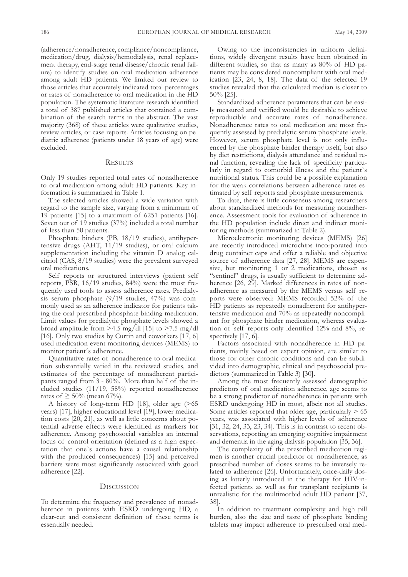(adherence/nonadherence, compliance/noncompliance, medication/drug, dialysis/hemodialysis, renal replacement therapy, end-stage renal disease/chronic renal failure) to identify studies on oral medication adherence among adult HD patients. We limited our review to those articles that accurately indicated total percentages or rates of nonadherence to oral medication in the HD population. The systematic literature research identified a total of 387 published articles that contained a combination of the search terms in the abstract. The vast majority (368) of these articles were qualitative studies, review articles, or case reports. Articles focusing on pediatric adherence (patients under 18 years of age) were excluded.

#### **RESULTS**

Only 19 studies reported total rates of nonadherence to oral medication among adult HD patients. Key information is summarized in Table 1.

The selected articles showed a wide variation with regard to the sample size, varying from a minimum of 19 patients [15] to a maximum of 6251 patients [16]. Seven out of 19 studies (37%) included a total number of less than 50 patients.

Phosphate binders (PB, 18/19 studies), antihypertensive drugs (AHT,  $11/19$  studies), or oral calcium supplementation including the vitamin D analog calcitriol (CAS, 8/19 studies) were the prevalent surveyed oral medications.

Self reports or structured interviews (patient self reports, PSR, 16/19 studies, 84%) were the most frequently used tools to assess adherence rates. Predialysis serum phosphate (9/19 studies, 47%) was commonly used as an adherence indicator for patients taking the oral prescribed phosphate binding medication. Limit values for predialytic phosphate levels showed a broad amplitude from  $>4.5$  mg/dl [15] to  $>7.5$  mg/dl [16]. Only two studies by Curtin and coworkers [17, 6] used medication event monitoring devices (MEMS) to monitor patient´s adherence.

Quantitative rates of nonadherence to oral medication substantially varied in the reviewed studies, and estimates of the percentage of nonadherent participants ranged from 3 - 80%. More than half of the included studies (11/19, 58%) reported nonadherence rates of ≥ 50% (mean 67%).

A history of long-term HD [18], older age (>65 years) [17], higher educational level [19], lower medication costs [20, 21], as well as little concerns about potential adverse effects were identified as markers for adherence. Among psychosocial variables an internal locus of control orientation (defined as a high expectation that one`s actions have a causal relationship with the produced consequences) [15] and perceived barriers were most significantly associated with good adherence [22].

## **DISCUSSION**

To determine the frequency and prevalence of nonadherence in patients with ESRD undergoing HD, a clear-cut and consistent definition of these terms is essentially needed.

Owing to the inconsistencies in uniform definitions, widely divergent results have been obtained in different studies, so that as many as 80% of HD patients may be considered noncompliant with oral medication [23, 24, 8, 18]. The data of the selected 19 studies revealed that the calculated median is closer to 50% [25].

Standardized adherence parameters that can be easily measured and verified would be desirable to achieve reproducible and accurate rates of nonadherence. Nonadherence rates to oral medication are most frequently assessed by predialytic serum phosphate levels. However, serum phosphate level is not only influenced by the phosphate binder therapy itself, but also by diet restrictions, dialysis attendance and residual renal function, revealing the lack of specificity particularly in regard to comorbid illness and the patient`s nutritional status. This could be a possible explanation for the weak correlations between adherence rates estimated by self reports and phosphate measurements.

To date, there is little consensus among researchers about standardized methods for measuring nonadherence. Assessment tools for evaluation of adherence in the HD population include direct and indirect monitoring methods (summarized in Table 2).

Microelectronic monitoring devices (MEMS) [26] are recently introduced microchips incorporated into drug container caps and offer a reliable and objective source of adherence data [27, 28]. MEMS are expensive, but monitoring 1 or 2 medications, chosen as "sentinel" drugs, is usually sufficient to determine adherence [26, 29]. Marked differences in rates of nonadherence as measured by the MEMS versus self reports were observed: MEMS recorded 52% of the HD patients as repeatedly nonadherent for antihypertensive medication and 70% as repeatedly noncompliant for phosphate binder medication, whereas evaluation of self reports only identified 12% and 8%, respectively [17, 6].

Factors associated with nonadherence in HD patients, mainly based on expert opinion, are similar to those for other chronic conditions and can be subdivided into demographic, clinical and psychosocial predictors (summarized in Table 3) [30].

Among the most frequently assessed demographic predictors of oral medication adherence, age seems to be a strong predictor of nonadherence in patients with ESRD undergoing HD in most, albeit not all studies. Some articles reported that older age, particularly > 65 years, was associated with higher levels of adherence [31, 32, 24, 33, 23, 34]. This is in contrast to recent observations, reporting an emerging cognitive impairment and dementia in the aging dialysis population [35, 36].

The complexity of the prescribed medication regimen is another crucial predictor of nonadherence, as prescribed number of doses seems to be inversely related to adherence [26]. Unfortunately, once-daily dosing as latterly introduced in the therapy for HIV-infected patients as well as for transplant recipients is unrealistic for the multimorbid adult HD patient [37, 38].

In addition to treatment complexity and high pill burden, also the size and taste of phosphate binding tablets may impact adherence to prescribed oral med-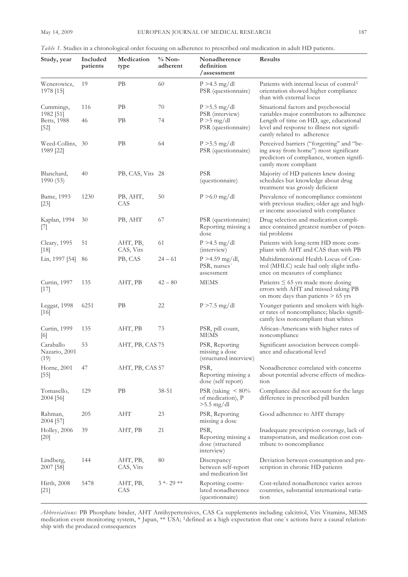| Study, year                        | Included<br>patients | Medication<br>type    | $%$ Non-<br>adherent | Nonadherence<br>definition<br>/assessment                     | Results                                                                                                                                                          |
|------------------------------------|----------------------|-----------------------|----------------------|---------------------------------------------------------------|------------------------------------------------------------------------------------------------------------------------------------------------------------------|
| Wenerowicz,<br>1978 [15]           | 19                   | PB                    | 60                   | $P > 4.5$ mg/dl<br>PSR (questionnaire)                        | Patients with internal locus of control <sup>1</sup><br>orientation showed higher compliance<br>than with external locus                                         |
| Cummings,                          | 116                  | PВ                    | 70                   | $P > 5.5$ mg/dl                                               | Situational factors and psychosocial                                                                                                                             |
| 1982 [51]<br>Betts, 1988<br>$[52]$ | 46                   | PВ                    | 74                   | PSR (interview)<br>$P > 5$ mg/dl<br>PSR (questionnaire)       | variables major contributors to adherence<br>Length of time on HD, age, educational<br>level and response to illness not signifi-<br>cantly related to adherence |
| Weed-Collins, 30<br>1989 [22]      |                      | PВ                    | 64                   | $P > 5.5$ mg/dl<br>PSR (questionnaire)                        | Perceived barriers ("forgetting" and "be-<br>ing away from home") most significant<br>predictors of compliance, women signifi-<br>cantly more compliant          |
| Blanchard,<br>1990 (53)            | 40                   | PB, CAS, Vits 28      |                      | <b>PSR</b><br>(questionnaire)                                 | Majority of HD patients knew dosing<br>schedules but knowledge about drug<br>treatment was grossly deficient                                                     |
| Bame, 1993<br>$[23]$               | 1230                 | PB, AHT,<br>CAS       | 50                   | $P > 6.0$ mg/dl                                               | Prevalence of noncompliance consistent<br>with previous studies; older age and high-<br>er income associated with compliance                                     |
| Kaplan, 1994<br>$\left[7\right]$   | 30                   | PB, AHT               | 67                   | PSR (questionnaire)<br>Reporting missing a<br>dose            | Drug selection and medication compli-<br>ance contained greatest number of poten-<br>tial problems                                                               |
| Cleary, 1995<br>$[18]$             | 51                   | AHT, PB,<br>CAS, Vits | 61                   | $P > 4.5$ mg/dl<br>(interview)                                | Patients with long-term HD more com-<br>pliant with AHT and CAS than with PB                                                                                     |
| Lin, 1997 [54]                     | 86                   | PB, CAS               | $24 - 61$            | $P > 4.59$ mg/dl,<br>PSR, nurses<br>assessment                | Multidimensional Health Locus of Con-<br>trol (MHLC) scale had only slight influ-<br>ence on measures of compliance                                              |
| Curtin, 1997<br>$[17]$             | 135                  | AHT, PB               | $42 - 80$            | MEMS                                                          | Patients $\leq 65$ yrs made more dosing<br>errors with AHT and missed taking PB<br>on more days than patients $> 65$ yrs                                         |
| Leggat, 1998<br>[16]               | 6251                 | PB                    | 22                   | $P > 7.5$ mg/dl                                               | Younger patients and smokers with high-<br>er rates of noncompliance; blacks signifi-<br>cantly less noncompliant than whites                                    |
| Curtin, 1999<br>[6]                | 135                  | AHT, PB               | 73                   | PSR, pill count,<br><b>MEMS</b>                               | African-Americans with higher rates of<br>noncompliance                                                                                                          |
| Caraballo<br>Nazario, 2001<br>(19) | 53                   | AHT, PB, CAS 75       |                      | PSR, Reporting<br>missing a dose<br>(structured interview)    | Significant association between compli-<br>ance and educational level                                                                                            |
| Horne, 2001<br>$[55]$              | 47                   | AHT, PB, CAS 57       |                      | PSR,<br>Reporting missing a<br>dose (self report)             | Nonadherence correlated with concerns<br>about potential adverse effects of medica-<br>tion                                                                      |
| Tomasello,<br>$2004$ [56]          | 129                  | PB                    | 38-51                | PSR (taking $\leq 80\%$<br>of medication), P<br>$>5.5$ mg/dl  | Compliance did not account for the large<br>difference in prescribed pill burden                                                                                 |
| Rahman,<br>2004 [57]               | 205                  | AHT                   | 23                   | PSR, Reporting<br>missing a dose                              | Good adherence to AHT therapy                                                                                                                                    |
| Holley, 2006<br>$[20]$             | 39                   | AHT, PB               | 21                   | PSR,<br>Reporting missing a<br>dose (structured<br>interview) | Inadequate prescription coverage, lack of<br>transportation, and medication cost con-<br>tribute to noncompliance                                                |
| Lindberg,<br>2007 [58]             | 144                  | AHT, PB,<br>CAS, Vits | 80                   | Discrepancy<br>between self-report<br>and medication list     | Deviation between consumption and pre-<br>scription in chronic HD patients                                                                                       |
| Hirth, 2008<br>$[21]$              | 5478                 | AHT, PB,<br>CAS       | $3 * 29 **$          | Reporting costre-<br>lated nonadherence<br>(questionnaire)    | Cost-related nonadherence varies across<br>countries, substantial international varia-<br>tion                                                                   |

*Table 1.* Studies in a chronological order focusing on adherence to prescribed oral medication in adult HD patients.

*Abbreviations:* PB Phosphate binder, AHT Antihypertensives, CAS Ca supplements including calcitriol, Vits Vitamins, MEMS medication event monitoring system, \* Japan, \*\* USA; 1defined as a high expectation that one`s actions have a causal relationship with the produced consequences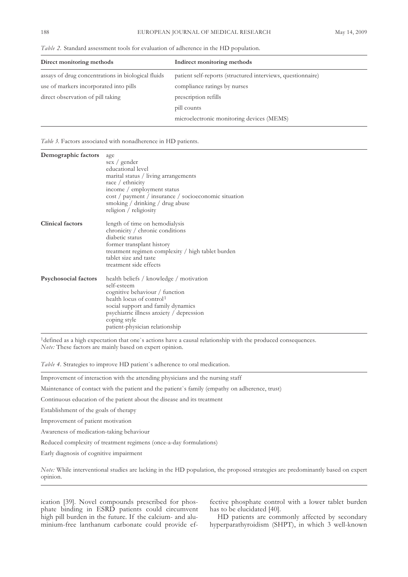| Direct monitoring methods                          | Indirect monitoring methods                                 |
|----------------------------------------------------|-------------------------------------------------------------|
| assays of drug concentrations in biological fluids | patient self-reports (structured interviews, questionnaire) |
| use of markers incorporated into pills             | compliance ratings by nurses                                |
| direct observation of pill taking                  | prescription refills                                        |
|                                                    | pill counts                                                 |
|                                                    | microelectronic monitoring devices (MEMS)                   |

*Table 2.* Standard assessment tools for evaluation of adherence in the HD population.

*Table 3.* Factors associated with nonadherence in HD patients.

| Demographic factors         | age<br>sex / gender<br>educational level<br>marital status / living arrangements<br>race $/$ ethnicity<br>income / employment status<br>cost / payment / insurance / socioeconomic situation<br>smoking / drinking / drug abuse<br>religion / religiosity            |
|-----------------------------|----------------------------------------------------------------------------------------------------------------------------------------------------------------------------------------------------------------------------------------------------------------------|
| <b>Clinical factors</b>     | length of time on hemodialysis<br>chronicity / chronic conditions<br>diabetic status<br>former transplant history<br>treatment regimen complexity / high tablet burden<br>tablet size and taste<br>treatment side effects                                            |
| <b>Psychosocial factors</b> | health beliefs / knowledge / motivation<br>self-esteem<br>cognitive behaviour / function<br>health locus of control <sup>1</sup><br>social support and family dynamics<br>psychiatric illness anxiety / depression<br>coping style<br>patient-physician relationship |

1defined as a high expectation that one`s actions have a causal relationship with the produced consequences. *Note:* These factors are mainly based on expert opinion.

*Table 4.* Strategies to improve HD patient`s adherence to oral medication.

Improvement of interaction with the attending physicians and the nursing staff

Maintenance of contact with the patient and the patient`s family (empathy on adherence, trust)

Continuous education of the patient about the disease and its treatment

Establishment of the goals of therapy

Improvement of patient motivation

Awareness of medication-taking behaviour

Reduced complexity of treatment regimens (once-a-day formulations)

Early diagnosis of cognitive impairment

*Note:* While interventional studies are lacking in the HD population, the proposed strategies are predominantly based on expert opinion.

ication [39]. Novel compounds prescribed for phosphate binding in ESRD patients could circumvent high pill burden in the future. If the calcium- and aluminium-free lanthanum carbonate could provide effective phosphate control with a lower tablet burden has to be elucidated [40].

HD patients are commonly affected by secondary hyperparathyroidism (SHPT), in which 3 well-known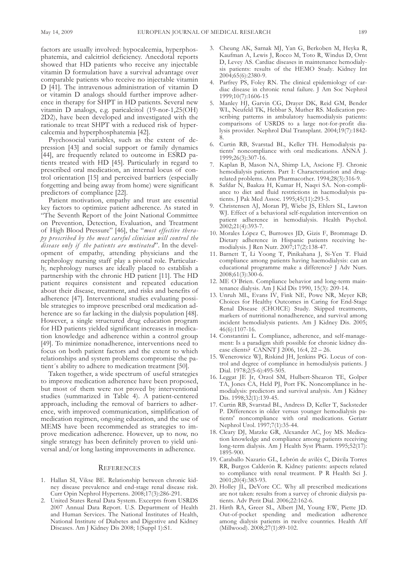factors are usually involved: hypocalcemia, hyperphosphatemia, and calcitriol deficiency. Anecdotal reports showed that HD patients who receive any injectable vitamin D formulation have a survival advantage over comparable patients who receive no injectable vitamin D [41]. The intravenous administration of vitamin D or vitamin D analogs should further improve adherence in therapy for SHPT in HD patients. Several new vitamin D analogs, e.g. paricalcitol (19-nor-1,25(OH) 2D2), have been developed and investigated with the rationale to treat SHPT with a reduced risk of hypercalcemia and hyperphosphatemia [42].

Psychosocial variables, such as the extent of depression [43] and social support or family dynamics [44], are frequently related to outcome in ESRD patients treated with HD [45]. Particularly in regard to prescribed oral medication, an internal locus of control orientation [15] and perceived barriers (especially forgetting and being away from home) were significant predictors of compliance [22].

Patient motivation, empathy and trust are essential key factors to optimize patient adherence. As stated in "The Seventh Report of the Joint National Committee on Prevention, Detection, Evaluation, and Treatment of High Blood Pressure" [46], the "*most effective therapy prescribed by the most careful clinician will control the disease only if the patients are motivated*". In the development of empathy, attending physicians and the nephrology nursing staff play a pivotal role. Particularly, nephrology nurses are ideally placed to establish a partnership with the chronic HD patient [11]. The HD patient requires consistent and repeated education about their disease, treatment, and risks and benefits of adherence [47]. Interventional studies evaluating possible strategies to improve prescribed oral medication adherence are so far lacking in the dialysis population [48]. However, a single structured drug education program for HD patients yielded significant increases in medication knowledge and adherence within a control group [49]. To minimize nonadherence, interventions need to focus on both patient factors and the extent to which relationships and system problems compromise the patient´s ability to adhere to medication treatment [50].

Taken together, a wide spectrum of useful strategies to improve medication adherence have been proposed, but most of them were not proved by interventional studies (summarized in Table 4). A patient-centered approach, including the removal of barriers to adherence, with improved communication, simplification of medication regimen, ongoing education, and the use of MEMS have been recommended as strategies to improve medication adherence. However, up to now, no single strategy has been definitely proven to yield universal and/or long lasting improvements in adherence.

### **REFERENCES**

- 1. Hallan SI, Vikse BE. Relationship between chronic kidney disease prevalence and end-stage renal disease risk. Curr Opin Nephrol Hypertens. 2008;17(3):286-291.
- 2. United States Renal Data System. Excerpts from USRDS 2007 Annual Data Report. U.S. Department of Health and Human Services. The National Institutes of Health, National Institute of Diabetes and Digestive and Kidney Diseases. Am J Kidney Dis 2008; 1(Suppl 1):S1.
- 3. Cheung AK, Sarnak MJ, Yan G, Berkoben M, Heyka R, Kaufman A, Lewis J, Rocco M, Toto R, Windus D, Ornt D, Levey AS. Cardiac diseases in maintenance hemodialysis patients: results of the HEMO Study. Kidney Int 2004;65(6):2380-9.
- 4. Parfrey PS, Foley RN. The clinical epidemiology of cardiac disease in chronic renal failure. J Am Soc Nephrol 1999;10(7):1606-15
- 5. Manley HJ, Garvin CG, Drayer DK, Reid GM, Bender WL, Neufeld TK, Hebbar S, Muther RS. Medication prescribing patterns in ambulatory haemodialysis patients: comparisons of USRDS to a large not-for-profit dialysis provider. Nephrol Dial Transplant. 2004;19(7):1842- 8.
- 6. Curtin RB, Svarstad BL, Keller TH. Hemodialysis patients' noncompliance with oral medications. ANNA J. 1999;26(3):307-16.
- 7. Kaplan B, Mason NA, Shimp LA, Ascione FJ. Chronic hemodialysis patients. Part I: Characterization and drugrelated problems. Ann Pharmacother. 1994;28(3):316-9.
- 8. Safdar N, Baakza H, Kumar H, Naqvi SA. Non-compliance to diet and fluid restrictions in haemodialysis patients. J Pak Med Assoc. 1995;45(11):293-5.
- 9. Christensen AJ, Moran PJ, Wiebe JS, Ehlers SL, Lawton WJ. Effect of a behavioral self-regulation intervention on patient adherence in hemodialysis. Health Psychol. 2002;21(4):393-7.
- 10. Morales López C, Burrowes JD, Gizis F, Brommage D. Dietary adherence in Hispanic patients receiving hemodialysis. J Ren Nutr. 2007;17(2):138-47.
- 11. Barnett T, Li Yoong T, Pinikahana J, Si-Yen T. Fluid compliance among patients having haemodialysis: can an educational programme make a difference? J Adv Nurs. 2008;61(3):300-6.
- 12. ME O`Brien. Compliance behavior and long-term maintenance dialysis. Am J Kid Dis 1990, 15(3): 209-14.
- 13. Unruh ML, Evans IV, Fink NE, Powe NR, Meyer KB; Choices for Healthy Outcomes in Caring for End-Stage Renal Disease (CHOICE) Study. Skipped treatments, markers of nutritional nonadherence, and survival among incident hemodialysis patients. Am J Kidney Dis. 2005; 46(6):1107-16.
- 14. Constantini L. Compliance, adherence, and self-management: Is a paradigm shift possible for chronic kidney disease clients? CANNT J 2006, 16:4, 22 – 26.
- 15. Wenerowicz WJ, Riskind JH, Jenkins PG. Locus of control and degree of compliance in hemodialysis patients. J Dial. 1978;2(5-6):495-505.
- 16. Leggat JE Jr, Orzol SM, Hulbert-Shearon TE, Golper TA, Jones CA, Held PJ, Port FK. Noncompliance in hemodialysis: predictors and survival analysis. Am J Kidney Dis. 1998;32(1):139-45.
- 17. Curtin RB, Svarstad BL, Andress D, Keller T, Sacksteder P. Differences in older versus younger hemodialysis patients' noncompliance with oral medications. Geriatr Nephrol Urol. 1997;7(1):35-44.
- 18. Cleary DJ, Matzke GR, Alexander AC, Joy MS. Medication knowledge and compliance among patients receiving long-term dialysis. Am J Health Syst Pharm. 1995;52(17): 1895-900.
- 19. Caraballo Nazario GL, Lebrón de avilés C, Dávila Torres RR, Burgos Calderón R. Kidney patients: aspects related to compliance with renal treatment. P R Health Sci J. 2001;20(4):383-93.
- 20. Holley JL, DeVore CC. Why all prescribed medications are not taken: results from a survey of chronic dialysis patients. Adv Perit Dial. 2006;22:162-6.
- 21. Hirth RA, Greer SL, Albert JM, Young EW, Piette JD. Out-of-pocket spending and medication adherence among dialysis patients in twelve countries. Health Aff (Millwood). 2008;27(1):89-102.